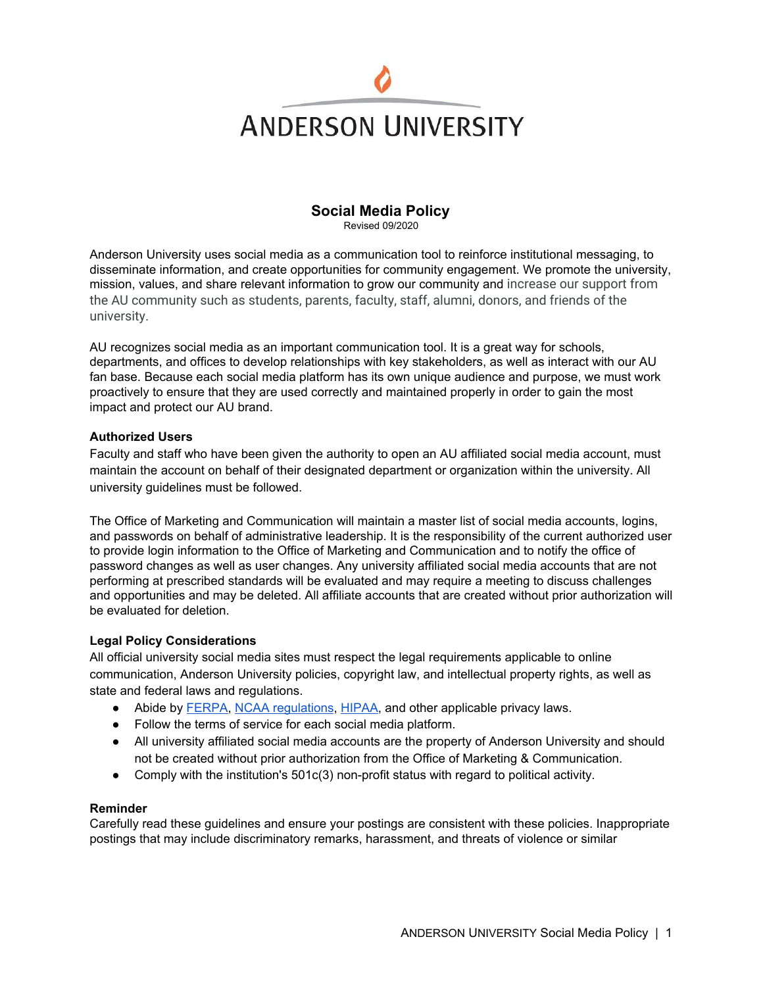

### **Social Media Policy**

Revised 09/2020

Anderson University uses social media as a communication tool to reinforce institutional messaging, to disseminate information, and create opportunities for community engagement. We promote the university, mission, values, and share relevant information to grow our community and increase our support from the AU community such as students, parents, faculty, staff, alumni, donors, and friends of the university.

AU recognizes social media as an important communication tool. It is a great way for schools, departments, and offices to develop relationships with key stakeholders, as well as interact with our AU fan base. Because each social media platform has its own unique audience and purpose, we must work proactively to ensure that they are used correctly and maintained properly in order to gain the most impact and protect our AU brand.

#### **Authorized Users**

Faculty and staff who have been given the authority to open an AU affiliated social media account, must maintain the account on behalf of their designated department or organization within the university. All university guidelines must be followed.

The Office of Marketing and Communication will maintain a master list of social media accounts, logins, and passwords on behalf of administrative leadership. It is the responsibility of the current authorized user to provide login information to the Office of Marketing and Communication and to notify the office of password changes as well as user changes. Any university affiliated social media accounts that are not performing at prescribed standards will be evaluated and may require a meeting to discuss challenges and opportunities and may be deleted. All affiliate accounts that are created without prior authorization will be evaluated for deletion.

#### **Legal Policy Considerations**

All official university social media sites must respect the legal requirements applicable to online communication, Anderson University policies, copyright law, and intellectual property rights, as well as state and federal laws and regulations.

- Abide by [FERPA](https://www.facultyfocus.com/articles/teaching-with-technology-articles/ferpa-and-social-media/), NCAA [regulations](https://new.berecruited.com/resources/parent-center/the-ncaas-policy-on-social-media-recruiting), [HIPAA,](https://www.hhs.gov/hipaa/for-professionals/security/laws-regulations/index.html) and other applicable privacy laws.
- Follow the terms of service for each social media platform.
- All university affiliated social media accounts are the property of Anderson University and should not be created without prior authorization from the Office of Marketing & Communication.
- Comply with the institution's 501c(3) non-profit status with regard to political activity.

#### **Reminder**

Carefully read these guidelines and ensure your postings are consistent with these policies. Inappropriate postings that may include discriminatory remarks, harassment, and threats of violence or similar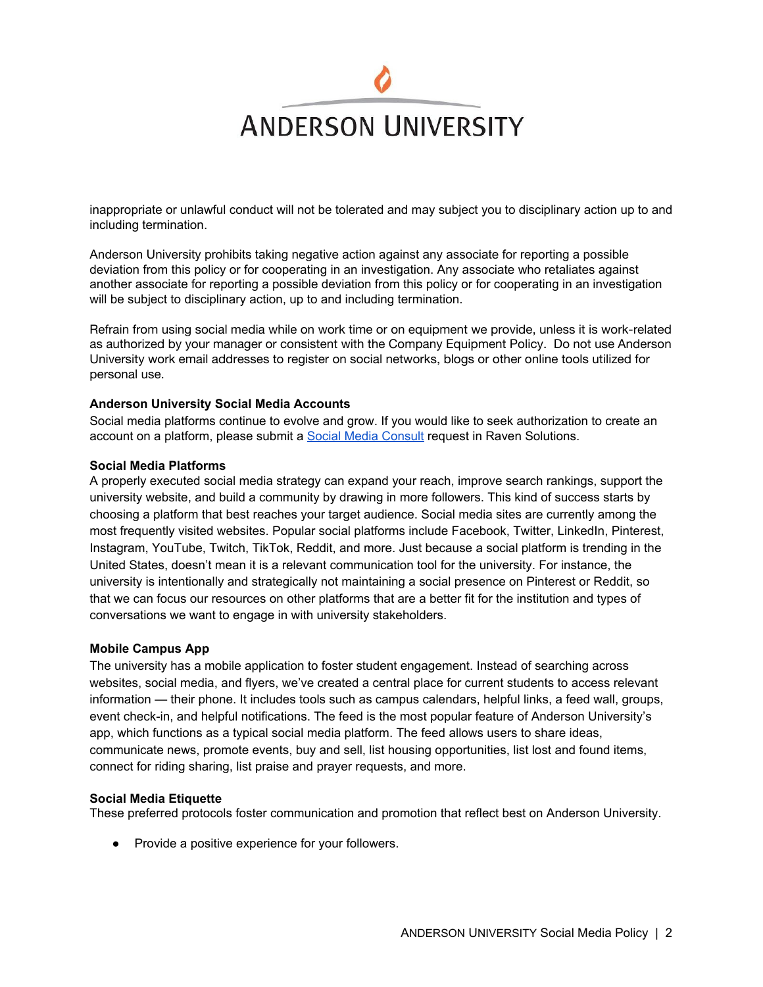# **ANDERSON UNIVERSITY**

inappropriate or unlawful conduct will not be tolerated and may subject you to disciplinary action up to and including termination.

Anderson University prohibits taking negative action against any associate for reporting a possible deviation from this policy or for cooperating in an investigation. Any associate who retaliates against another associate for reporting a possible deviation from this policy or for cooperating in an investigation will be subject to disciplinary action, up to and including termination.

Refrain from using social media while on work time or on equipment we provide, unless it is work-related as authorized by your manager or consistent with the Company Equipment Policy. Do not use Anderson University work email addresses to register on social networks, blogs or other online tools utilized for personal use.

#### **Anderson University Social Media Accounts**

Social media platforms continue to evolve and grow. If you would like to seek authorization to create an account on a platform, please submit a Social Media [Consult](https://anderson.teamdynamix.com/TDClient/1844/Portal/Requests/ServiceDet?ID=38007) request in Raven Solutions.

#### **Social Media Platforms**

A properly executed social media strategy can expand your reach, improve search rankings, support the university website, and build a community by drawing in more followers. This kind of success starts by choosing a platform that best reaches your target audience. Social media sites are currently among the most frequently visited websites. Popular social platforms include Facebook, Twitter, LinkedIn, Pinterest, Instagram, YouTube, Twitch, TikTok, Reddit, and more. Just because a social platform is trending in the United States, doesn't mean it is a relevant communication tool for the university. For instance, the university is intentionally and strategically not maintaining a social presence on Pinterest or Reddit, so that we can focus our resources on other platforms that are a better fit for the institution and types of conversations we want to engage in with university stakeholders.

#### **Mobile Campus App**

The university has a mobile application to foster student engagement. Instead of searching across websites, social media, and flyers, we've created a central place for current students to access relevant information — their phone. It includes tools such as campus calendars, helpful links, a feed wall, groups, event check-in, and helpful notifications. The feed is the most popular feature of Anderson University's app, which functions as a typical social media platform. The feed allows users to share ideas, communicate news, promote events, buy and sell, list housing opportunities, list lost and found items, connect for riding sharing, list praise and prayer requests, and more.

#### **Social Media Etiquette**

These preferred protocols foster communication and promotion that reflect best on Anderson University.

● Provide a positive experience for your followers.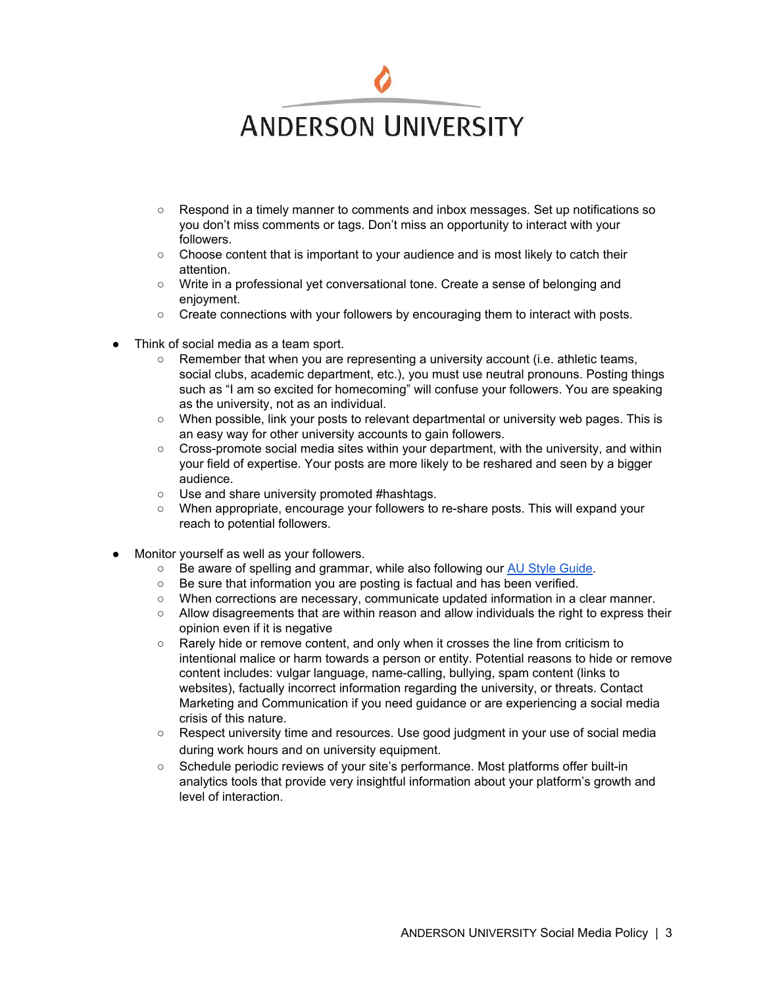## **ANDERSON UNIVERSITY**

- Respond in a timely manner to comments and inbox messages. Set up notifications so you don't miss comments or tags. Don't miss an opportunity to interact with your followers.
- Choose content that is important to your audience and is most likely to catch their attention.
- Write in a professional yet conversational tone. Create a sense of belonging and enjoyment.
- Create connections with your followers by encouraging them to interact with posts.
- Think of social media as a team sport.
	- $\circ$  Remember that when you are representing a university account (i.e. athletic teams, social clubs, academic department, etc.), you must use neutral pronouns. Posting things such as "I am so excited for homecoming" will confuse your followers. You are speaking as the university, not as an individual.
	- When possible, link your posts to relevant departmental or university web pages. This is an easy way for other university accounts to gain followers.
	- Cross-promote social media sites within your department, with the university, and within your field of expertise. Your posts are more likely to be reshared and seen by a bigger audience.
	- Use and share university promoted #hashtags.
	- When appropriate, encourage your followers to re-share posts. This will expand your reach to potential followers.
- Monitor yourself as well as your followers.
	- Be aware of spelling and grammar, while also following our AU Style [Guide.](https://anderson.teamdynamix.com/TDClient/1844/Portal/Requests/ServiceDet?ID=42276&SIDs=6968)
	- Be sure that information you are posting is factual and has been verified.
	- When corrections are necessary, communicate updated information in a clear manner.
	- Allow disagreements that are within reason and allow individuals the right to express their opinion even if it is negative
	- Rarely hide or remove content, and only when it crosses the line from criticism to intentional malice or harm towards a person or entity. Potential reasons to hide or remove content includes: vulgar language, name-calling, bullying, spam content (links to websites), factually incorrect information regarding the university, or threats. Contact Marketing and Communication if you need guidance or are experiencing a social media crisis of this nature.
	- Respect university time and resources. Use good judgment in your use of social media during work hours and on university equipment.
	- Schedule periodic reviews of your site's performance. Most platforms offer built-in analytics tools that provide very insightful information about your platform's growth and level of interaction.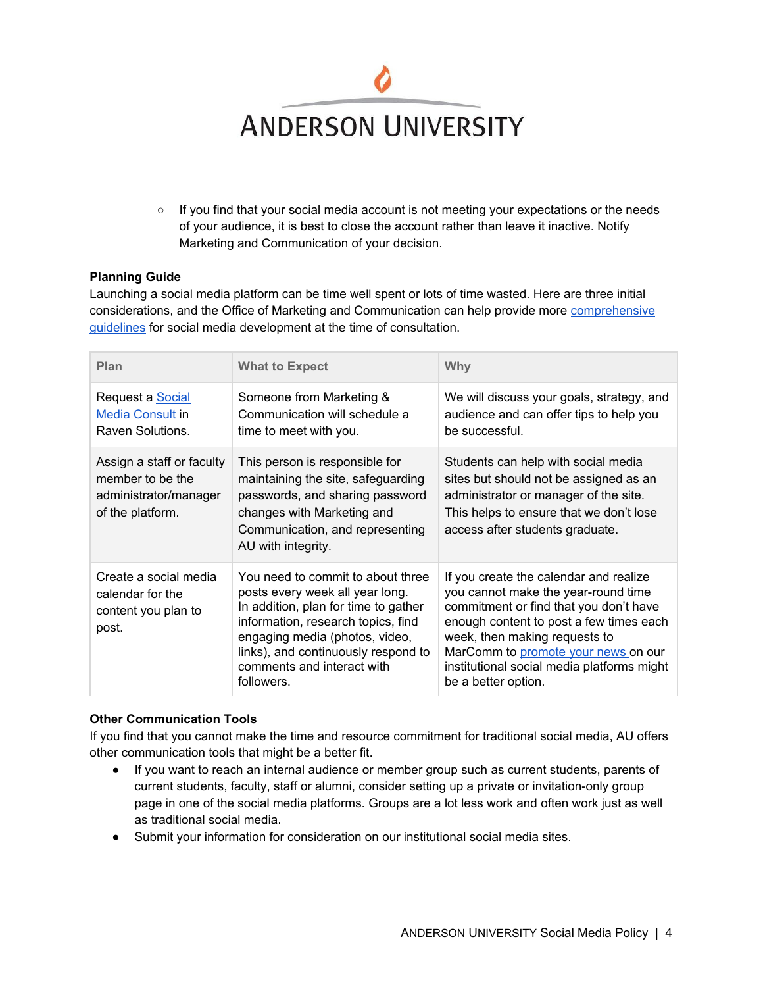

○ If you find that your social media account is not meeting your expectations or the needs of your audience, it is best to close the account rather than leave it inactive. Notify Marketing and Communication of your decision.

#### **Planning Guide**

Launching a social media platform can be time well spent or lots of time wasted. Here are three initial considerations, and the Office of Marketing and Communication can help provide more [comprehensive](https://docs.google.com/document/d/1GacWrM-VVZ-VxAao5hfMJLshkuFgdnqHVJpAPJjm4Dk/edit#) [guidelines](https://docs.google.com/document/d/1GacWrM-VVZ-VxAao5hfMJLshkuFgdnqHVJpAPJjm4Dk/edit#) for social media development at the time of consultation.

| Plan                                                                                       | <b>What to Expect</b>                                                                                                                                                                                                                                                   | Why                                                                                                                                                                                                                                                                                                             |
|--------------------------------------------------------------------------------------------|-------------------------------------------------------------------------------------------------------------------------------------------------------------------------------------------------------------------------------------------------------------------------|-----------------------------------------------------------------------------------------------------------------------------------------------------------------------------------------------------------------------------------------------------------------------------------------------------------------|
| Request a Social<br><b>Media Consult in</b><br>Raven Solutions.                            | Someone from Marketing &<br>Communication will schedule a<br>time to meet with you.                                                                                                                                                                                     | We will discuss your goals, strategy, and<br>audience and can offer tips to help you<br>be successful.                                                                                                                                                                                                          |
| Assign a staff or faculty<br>member to be the<br>administrator/manager<br>of the platform. | This person is responsible for<br>maintaining the site, safeguarding<br>passwords, and sharing password<br>changes with Marketing and<br>Communication, and representing<br>AU with integrity.                                                                          | Students can help with social media<br>sites but should not be assigned as an<br>administrator or manager of the site.<br>This helps to ensure that we don't lose<br>access after students graduate.                                                                                                            |
| Create a social media<br>calendar for the<br>content you plan to<br>post.                  | You need to commit to about three<br>posts every week all year long.<br>In addition, plan for time to gather<br>information, research topics, find<br>engaging media (photos, video,<br>links), and continuously respond to<br>comments and interact with<br>followers. | If you create the calendar and realize<br>you cannot make the year-round time<br>commitment or find that you don't have<br>enough content to post a few times each<br>week, then making requests to<br>MarComm to promote your news on our<br>institutional social media platforms might<br>be a better option. |

#### **Other Communication Tools**

If you find that you cannot make the time and resource commitment for traditional social media, AU offers other communication tools that might be a better fit.

- If you want to reach an internal audience or member group such as current students, parents of current students, faculty, staff or alumni, consider setting up a private or invitation-only group page in one of the social media platforms. Groups are a lot less work and often work just as well as traditional social media.
- Submit your information for consideration on our institutional social media sites.